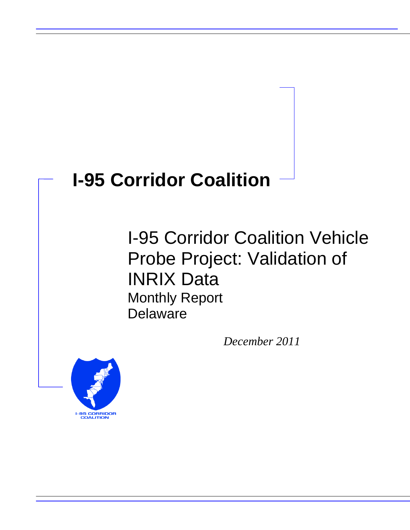# **I-95 Corridor Coalition**

I-95 Corridor Coalition Vehicle Probe Project: Validation of INRIX Data Monthly Report Delaware

*December 2011*

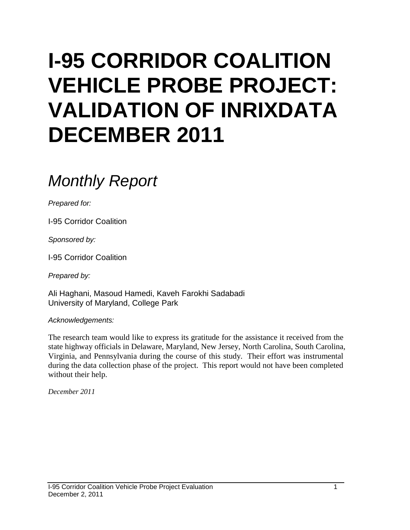# **I-95 CORRIDOR COALITION VEHICLE PROBE PROJECT: VALIDATION OF INRIXDATA DECEMBER 2011**

# *Monthly Report*

*Prepared for:*

I-95 Corridor Coalition

*Sponsored by:*

I-95 Corridor Coalition

*Prepared by:*

Ali Haghani, Masoud Hamedi, Kaveh Farokhi Sadabadi University of Maryland, College Park

*Acknowledgements:*

The research team would like to express its gratitude for the assistance it received from the state highway officials in Delaware, Maryland, New Jersey, North Carolina, South Carolina, Virginia, and Pennsylvania during the course of this study. Their effort was instrumental during the data collection phase of the project. This report would not have been completed without their help.

*December 2011*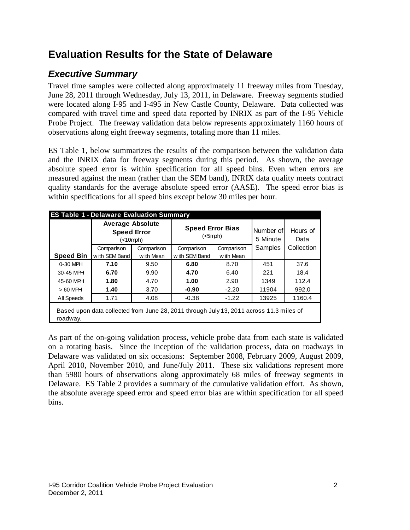## **Evaluation Results for the State of Delaware**

## *Executive Summary*

Travel time samples were collected along approximately 11 freeway miles from Tuesday, June 28, 2011 through Wednesday, July 13, 2011, in Delaware. Freeway segments studied were located along I-95 and I-495 in New Castle County, Delaware. Data collected was compared with travel time and speed data reported by INRIX as part of the I-95 Vehicle Probe Project. The freeway validation data below represents approximately 1160 hours of observations along eight freeway segments, totaling more than 11 miles.

ES Table 1, below summarizes the results of the comparison between the validation data and the INRIX data for freeway segments during this period. As shown, the average absolute speed error is within specification for all speed bins. Even when errors are measured against the mean (rather than the SEM band), INRIX data quality meets contract quality standards for the average absolute speed error (AASE). The speed error bias is within specifications for all speed bins except below 30 miles per hour.

| <b>ES Table 1 - Delaware Evaluation Summary</b> | <b>Average Absolute</b><br><b>Speed Error</b><br>(<10 mph)                              |            |                | <b>Speed Error Bias</b><br>$(<5$ mph $)$ | Number of<br>5 Minute | Hours of<br>Data |  |
|-------------------------------------------------|-----------------------------------------------------------------------------------------|------------|----------------|------------------------------------------|-----------------------|------------------|--|
|                                                 | Comparison                                                                              | Comparison | Comparison     | Comparison                               | Samples               | Collection       |  |
| <b>Speed Bin</b>                                | with SEM Band                                                                           | w ith Mean | w ith SEM Band | w ith Mean                               |                       |                  |  |
| 0-30 MPH                                        | 7.10                                                                                    | 9.50       | 6.80           | 8.70                                     | 451                   | 37.6             |  |
| 30-45 MPH                                       | 6.70                                                                                    | 9.90       | 4.70           | 6.40                                     | 221                   | 18.4             |  |
| 45-60 MPH                                       | 1.80                                                                                    | 4.70       | 1.00           | 2.90                                     | 1349                  | 112.4            |  |
| $>60$ MPH                                       | 1.40                                                                                    | 3.70       | $-0.90$        | $-2.20$                                  | 11904                 | 992.0            |  |
| All Speeds                                      | 1.71                                                                                    | 4.08       | $-0.38$        | $-1.22$                                  | 13925                 | 1160.4           |  |
| roadway.                                        | Based upon data collected from June 28, 2011 through July 13, 2011 across 11.3 miles of |            |                |                                          |                       |                  |  |

As part of the on-going validation process, vehicle probe data from each state is validated on a rotating basis. Since the inception of the validation process, data on roadways in Delaware was validated on six occasions: September 2008, February 2009, August 2009, April 2010, November 2010, and June/July 2011. These six validations represent more than 5980 hours of observations along approximately 68 miles of freeway segments in Delaware. ES Table 2 provides a summary of the cumulative validation effort. As shown, the absolute average speed error and speed error bias are within specification for all speed bins.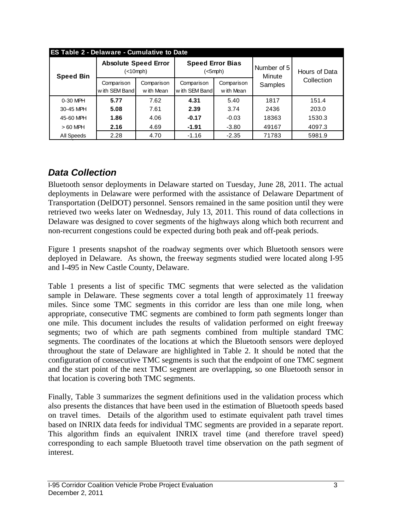|                  | <b>ES Table 2 - Delaware - Cumulative to Date</b> |                          |                             |                          |                       |                             |  |  |  |  |  |  |
|------------------|---------------------------------------------------|--------------------------|-----------------------------|--------------------------|-----------------------|-----------------------------|--|--|--|--|--|--|
| <b>Speed Bin</b> | <b>Absolute Speed Error</b><br>$(<10$ mph $)$     |                          | <b>Speed Error Bias</b>     | $(<5$ mph $)$            | Number of 5<br>Minute | Hours of Data<br>Collection |  |  |  |  |  |  |
|                  | Comparison<br>with SEM Band                       | Comparison<br>w ith Mean | Comparison<br>with SEM Band | Comparison<br>w ith Mean | Samples               |                             |  |  |  |  |  |  |
| $0-30$ MPH       | 5.77                                              | 7.62                     | 4.31                        | 5.40                     | 1817                  | 151.4                       |  |  |  |  |  |  |
| 30-45 MPH        | 5.08                                              | 7.61                     | 2.39                        | 3.74                     | 2436                  | 203.0                       |  |  |  |  |  |  |
| 45-60 MPH        | 1.86                                              | 4.06                     | $-0.17$                     | $-0.03$                  | 18363                 | 1530.3                      |  |  |  |  |  |  |
| $>60$ MPH        | 2.16                                              | 4.69                     | $-1.91$                     | $-3.80$                  | 49167                 | 4097.3                      |  |  |  |  |  |  |
| All Speeds       | 2.28                                              | 4.70                     | $-1.16$                     | $-2.35$                  | 71783                 | 5981.9                      |  |  |  |  |  |  |

### *Data Collection*

Bluetooth sensor deployments in Delaware started on Tuesday, June 28, 2011. The actual deployments in Delaware were performed with the assistance of Delaware Department of Transportation (DelDOT) personnel. Sensors remained in the same position until they were retrieved two weeks later on Wednesday, July 13, 2011. This round of data collections in Delaware was designed to cover segments of the highways along which both recurrent and non-recurrent congestions could be expected during both peak and off-peak periods.

Figure 1 presents snapshot of the roadway segments over which Bluetooth sensors were deployed in Delaware. As shown, the freeway segments studied were located along I-95 and I-495 in New Castle County, Delaware.

Table 1 presents a list of specific TMC segments that were selected as the validation sample in Delaware. These segments cover a total length of approximately 11 freeway miles. Since some TMC segments in this corridor are less than one mile long, when appropriate, consecutive TMC segments are combined to form path segments longer than one mile. This document includes the results of validation performed on eight freeway segments; two of which are path segments combined from multiple standard TMC segments. The coordinates of the locations at which the Bluetooth sensors were deployed throughout the state of Delaware are highlighted in Table 2. It should be noted that the configuration of consecutive TMC segments is such that the endpoint of one TMC segment and the start point of the next TMC segment are overlapping, so one Bluetooth sensor in that location is covering both TMC segments.

Finally, Table 3 summarizes the segment definitions used in the validation process which also presents the distances that have been used in the estimation of Bluetooth speeds based on travel times. Details of the algorithm used to estimate equivalent path travel times based on INRIX data feeds for individual TMC segments are provided in a separate report. This algorithm finds an equivalent INRIX travel time (and therefore travel speed) corresponding to each sample Bluetooth travel time observation on the path segment of interest.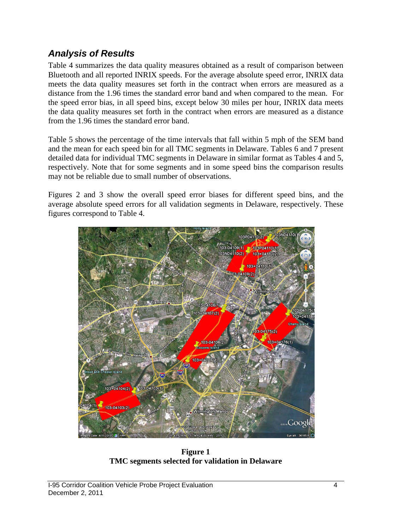#### *Analysis of Results*

Table 4 summarizes the data quality measures obtained as a result of comparison between Bluetooth and all reported INRIX speeds. For the average absolute speed error, INRIX data meets the data quality measures set forth in the contract when errors are measured as a distance from the 1.96 times the standard error band and when compared to the mean. For the speed error bias, in all speed bins, except below 30 miles per hour, INRIX data meets the data quality measures set forth in the contract when errors are measured as a distance from the 1.96 times the standard error band.

Table 5 shows the percentage of the time intervals that fall within 5 mph of the SEM band and the mean for each speed bin for all TMC segments in Delaware. Tables 6 and 7 present detailed data for individual TMC segments in Delaware in similar format as Tables 4 and 5, respectively. Note that for some segments and in some speed bins the comparison results may not be reliable due to small number of observations.

Figures 2 and 3 show the overall speed error biases for different speed bins, and the average absolute speed errors for all validation segments in Delaware, respectively. These figures correspond to Table 4.



**Figure 1 TMC segments selected for validation in Delaware**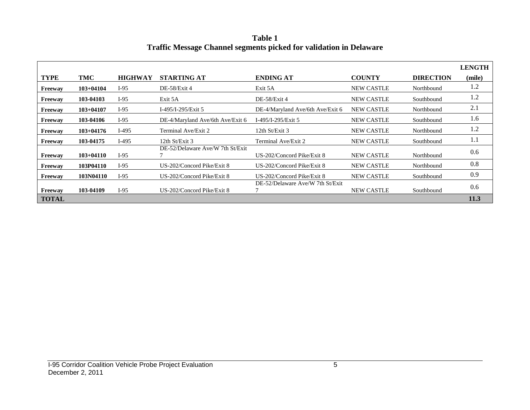**Table 1 Traffic Message Channel segments picked for validation in Delaware**

|              |             |                |                                  |                                  |                   |                  | <b>LENGTH</b> |
|--------------|-------------|----------------|----------------------------------|----------------------------------|-------------------|------------------|---------------|
| <b>TYPE</b>  | TMC         | <b>HIGHWAY</b> | STARTING AT                      | <b>ENDING AT</b>                 | <b>COUNTY</b>     | <b>DIRECTION</b> | (mile)        |
| Freeway      | $103+04104$ | $I-95$         | DE-58/Exit 4                     | Exit 5A                          | <b>NEW CASTLE</b> | Northbound       | 1.2           |
| Freeway      | 103-04103   | $I-95$         | Exit 5A                          | DE-58/Exit 4                     | <b>NEW CASTLE</b> | Southbound       | 1.2           |
| Freeway      | $103+04107$ | $I-95$         | I-495/I-295/Exit 5               | DE-4/Maryland Ave/6th Ave/Exit 6 | <b>NEW CASTLE</b> | Northbound       | 2.1           |
| Freeway      | 103-04106   | $I-95$         | DE-4/Maryland Ave/6th Ave/Exit 6 | I-495/I-295/Exit 5               | <b>NEW CASTLE</b> | Southbound       | 1.6           |
| Freeway      | $103+04176$ | $I-495$        | Terminal Ave/Exit 2              | 12th $St/Exit 3$                 | <b>NEW CASTLE</b> | Northbound       | 1.2           |
| Freeway      | 103-04175   | $I-495$        | 12th $St/Exit$ 3                 | Terminal Ave/Exit 2              | <b>NEW CASTLE</b> | Southbound       | 1.1           |
| Freeway      | $103+04110$ | $I-95$         | DE-52/Delaware Ave/W 7th St/Exit | US-202/Concord Pike/Exit 8       | <b>NEW CASTLE</b> | Northbound       | 0.6           |
| Freeway      | 103P04110   | $I-95$         | US-202/Concord Pike/Exit 8       | US-202/Concord Pike/Exit 8       | <b>NEW CASTLE</b> | Northbound       | 0.8           |
| Freeway      | 103N04110   | $I-95$         | US-202/Concord Pike/Exit 8       | US-202/Concord Pike/Exit 8       | <b>NEW CASTLE</b> | Southbound       | 0.9           |
| Freeway      | 103-04109   | $I-95$         | US-202/Concord Pike/Exit 8       | DE-52/Delaware Ave/W 7th St/Exit | <b>NEW CASTLE</b> | Southbound       | 0.6           |
| <b>TOTAL</b> |             |                |                                  |                                  |                   |                  | <b>11.3</b>   |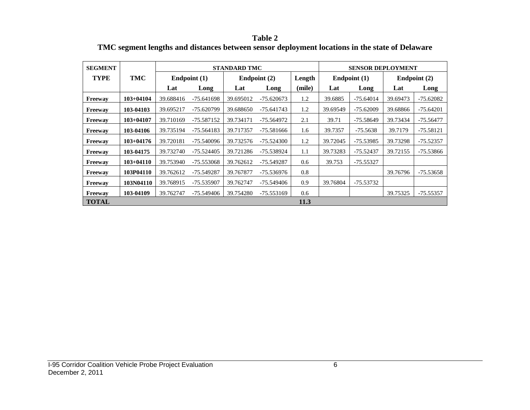**Table 2 TMC segment lengths and distances between sensor deployment locations in the state of Delaware**

| <b>SEGMENT</b> |               |              |              | <b>STANDARD TMC</b> |              |        |                | <b>SENSOR DEPLOYMENT</b> |              |             |  |
|----------------|---------------|--------------|--------------|---------------------|--------------|--------|----------------|--------------------------|--------------|-------------|--|
| <b>TYPE</b>    | TMC           | Endpoint (1) |              |                     | Endpoint (2) | Length | Endpoint $(1)$ |                          | Endpoint (2) |             |  |
|                |               | Lat          | Long         | Lat                 | Long         | (mile) | Lat            | Long                     | Lat          | Long        |  |
| <b>Freeway</b> | $103+04104$   | 39.688416    | $-75.641698$ | 39.695012           | $-75.620673$ | 1.2    | 39.6885        | $-75.64014$              | 39.69473     | $-75.62082$ |  |
| Freeway        | 103-04103     | 39.695217    | -75.620799   | 39.688650           | -75.641743   | 1.2    | 39.69549       | $-75.62009$              | 39.68866     | $-75.64201$ |  |
| Freeway        | $103+04107$   | 39.710169    | -75.587152   | 39.734171           | -75.564972   | 2.1    | 39.71          | $-75.58649$              | 39.73434     | $-75.56477$ |  |
| Freeway        | 103-04106     | 39.735194    | -75.564183   | 39.717357           | $-75.581666$ | 1.6    | 39.7357        | $-75.5638$               | 39.7179      | $-75.58121$ |  |
| Freeway        | $103+04176$   | 39.720181    | -75.540096   | 39.732576           | $-75.524300$ | 1.2    | 39.72045       | -75.53985                | 39.73298     | $-75.52357$ |  |
| Freeway        | 103-04175     | 39.732740    | -75.524405   | 39.721286           | -75.538924   | 1.1    | 39.73283       | -75.52437                | 39.72155     | -75.53866   |  |
| <b>Freeway</b> | $103 + 04110$ | 39.753940    | -75.553068   | 39.762612           | -75.549287   | 0.6    | 39.753         | -75.55327                |              |             |  |
| <b>Freeway</b> | 103P04110     | 39.762612    | -75.549287   | 39.767877           | -75.536976   | 0.8    |                |                          | 39.76796     | $-75.53658$ |  |
| Freeway        | 103N04110     | 39.768915    | -75.535907   | 39.762747           | -75.549406   | 0.9    | 39.76804       | -75.53732                |              |             |  |
| Freeway        | 103-04109     | 39.762747    | $-75.549406$ | 39.754280           | $-75.553169$ | 0.6    |                |                          | 39.75325     | -75.55357   |  |
| <b>TOTAL</b>   |               |              |              |                     |              | 11.3   |                |                          |              |             |  |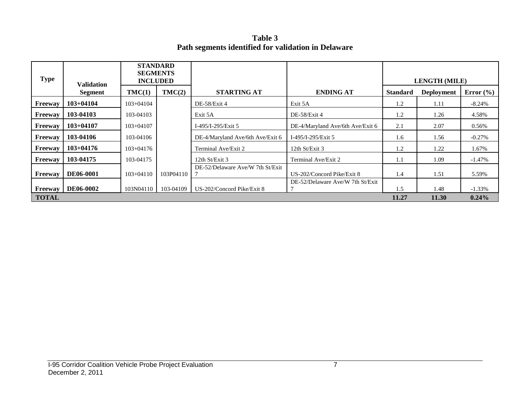**Table 3 Path segments identified for validation in Delaware**

| <b>Type</b>  | <b>Validation</b> | <b>STANDARD</b><br><b>SEGMENTS</b><br><b>INCLUDED</b> |           |                                  |                                  |                 | <b>LENGTH (MILE)</b> |               |
|--------------|-------------------|-------------------------------------------------------|-----------|----------------------------------|----------------------------------|-----------------|----------------------|---------------|
|              | Segment           | TMC(1)                                                | TMC(2)    | <b>STARTING AT</b>               | <b>ENDING AT</b>                 | <b>Standard</b> | <b>Deployment</b>    | Error $(\% )$ |
| Freeway      | $103+04104$       | $103 + 04104$                                         |           | DE-58/Exit 4                     | Exit 5A                          | 1.2             | 1.11                 | $-8.24\%$     |
| Freeway      | 103-04103         | 103-04103                                             |           | Exit 5A                          | DE-58/Exit 4                     | 1.2             | 1.26                 | 4.58%         |
| Freeway      | $103+04107$       | $103+04107$                                           |           | I-495/I-295/Exit 5               | DE-4/Maryland Ave/6th Ave/Exit 6 | 2.1             | 2.07                 | 0.56%         |
| Freeway      | 103-04106         | 103-04106                                             |           | DE-4/Maryland Ave/6th Ave/Exit 6 | I-495/I-295/Exit 5               | 1.6             | 1.56                 | $-0.27\%$     |
| Freeway      | $103+04176$       | $103+04176$                                           |           | Terminal Ave/Exit 2              | 12th $St/Exit 3$                 | 1.2             | 1.22                 | 1.67%         |
| Freeway      | 103-04175         | 103-04175                                             |           | 12th $St/Exit 3$                 | Terminal Ave/Exit 2              | 1.1             | 1.09                 | $-1.47\%$     |
| Freeway      | <b>DE06-0001</b>  | $103+04110$                                           | 103P04110 | DE-52/Delaware Ave/W 7th St/Exit | US-202/Concord Pike/Exit 8       | 1.4             | 1.51                 | 5.59%         |
| Freeway      | <b>DE06-0002</b>  | 103N04110                                             | 103-04109 | US-202/Concord Pike/Exit 8       | DE-52/Delaware Ave/W 7th St/Exit | 1.5             | 1.48                 | $-1.33\%$     |
| <b>TOTAL</b> |                   |                                                       |           |                                  |                                  | 11.27           | 11.30                | $0.24\%$      |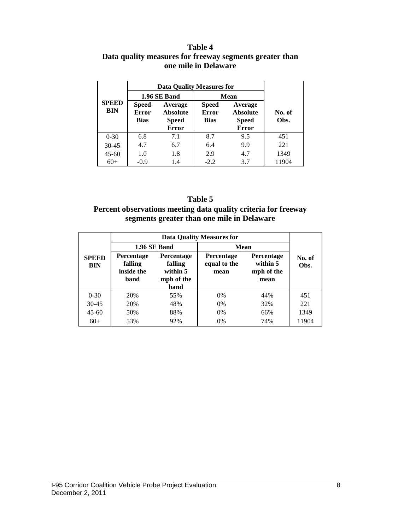#### **Table 4 Data quality measures for freeway segments greater than one mile in Delaware**

|                            |                                             | <b>Data Quality Measures for</b>                           |                                             |                                                            |                |  |  |  |  |  |
|----------------------------|---------------------------------------------|------------------------------------------------------------|---------------------------------------------|------------------------------------------------------------|----------------|--|--|--|--|--|
| <b>SPEED</b><br><b>BIN</b> |                                             | 1.96 SE Band                                               | <b>Mean</b>                                 |                                                            |                |  |  |  |  |  |
|                            | <b>Speed</b><br><b>Error</b><br><b>Bias</b> | Average<br><b>Absolute</b><br><b>Speed</b><br><b>Error</b> | <b>Speed</b><br><b>Error</b><br><b>Bias</b> | Average<br><b>Absolute</b><br><b>Speed</b><br><b>Error</b> | No. of<br>Obs. |  |  |  |  |  |
| $0 - 30$                   | 6.8                                         | 7.1                                                        | 8.7                                         | 9.5                                                        | 451            |  |  |  |  |  |
| $30 - 45$                  | 4.7                                         | 6.7                                                        | 6.4                                         | 9.9                                                        | 221            |  |  |  |  |  |
| $45 - 60$                  | 1.0                                         | 1.8                                                        | 2.9                                         | 4.7                                                        | 1349           |  |  |  |  |  |
| $60+$                      | $-0.9$                                      | 1.4                                                        | $-2.2$                                      | 3.7                                                        | 11904          |  |  |  |  |  |

#### **Table 5**

#### **Percent observations meeting data quality criteria for freeway segments greater than one mile in Delaware**

|                            |                                                    | 1.96 SE Band                                                   | Mean                                      |                                                     |                |  |
|----------------------------|----------------------------------------------------|----------------------------------------------------------------|-------------------------------------------|-----------------------------------------------------|----------------|--|
| <b>SPEED</b><br><b>BIN</b> | <b>Percentage</b><br>falling<br>inside the<br>band | <b>Percentage</b><br>falling<br>within 5<br>mph of the<br>band | <b>Percentage</b><br>equal to the<br>mean | <b>Percentage</b><br>within 5<br>mph of the<br>mean | No. of<br>Obs. |  |
| $0 - 30$                   | 20%                                                | 55%                                                            | $0\%$                                     | 44%                                                 | 451            |  |
| $30 - 45$                  | 20%                                                | 48%                                                            | $0\%$                                     | 32%                                                 | 221            |  |
| $45 - 60$                  | 50%                                                | 88%                                                            | $0\%$                                     | 66%                                                 | 1349           |  |
| $60+$                      | 53%                                                | 92%                                                            | 0%                                        | 74%                                                 | 11904          |  |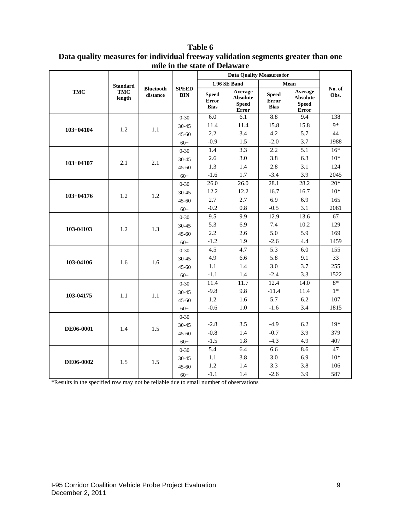|                  | <b>Standard</b>      |                              |                            |                                             | 1.96 SE Band                                        |                                             | Mean                                                |                |
|------------------|----------------------|------------------------------|----------------------------|---------------------------------------------|-----------------------------------------------------|---------------------------------------------|-----------------------------------------------------|----------------|
| <b>TMC</b>       | <b>TMC</b><br>length | <b>Bluetooth</b><br>distance | <b>SPEED</b><br><b>BIN</b> | <b>Speed</b><br><b>Error</b><br><b>Bias</b> | Average<br><b>Absolute</b><br><b>Speed</b><br>Error | <b>Speed</b><br><b>Error</b><br><b>Bias</b> | Average<br><b>Absolute</b><br><b>Speed</b><br>Error | No. of<br>Obs. |
| $103 + 04104$    |                      |                              | $0 - 30$                   | 6.0                                         | 6.1                                                 | 8.8                                         | 9.4                                                 | 138            |
|                  | 1.2                  | 1.1                          | 30-45                      | 11.4                                        | 11.4                                                | 15.8                                        | 15.8                                                | $9*$           |
|                  |                      |                              | $45 - 60$                  | 2.2                                         | 3.4                                                 | 4.2                                         | 5.7                                                 | 44             |
|                  |                      |                              | $60+$                      | $-0.9$                                      | 1.5                                                 | $-2.0$                                      | 3.7                                                 | 1988           |
|                  |                      |                              | $0 - 30$                   | 1.4                                         | 3.3                                                 | 2.2                                         | 5.1                                                 | $16*$          |
| $103 + 04107$    | 2.1                  | 2.1                          | 30-45                      | 2.6                                         | 3.0                                                 | 3.8                                         | 6.3                                                 | $10*$          |
|                  |                      |                              | $45 - 60$                  | 1.3                                         | 1.4                                                 | 2.8                                         | 3.1                                                 | 124            |
|                  |                      |                              | $60+$                      | $-1.6$                                      | 1.7                                                 | $-3.4$                                      | 3.9                                                 | 2045           |
|                  |                      |                              | $0 - 30$                   | 26.0                                        | 26.0                                                | 28.1                                        | 28.2                                                | $20*$          |
|                  | 1.2                  | 1.2                          | 30-45                      | 12.2                                        | 12.2                                                | 16.7                                        | 16.7                                                | $10*$          |
| $103 + 04176$    |                      |                              | $45 - 60$                  | 2.7                                         | 2.7                                                 | 6.9                                         | 6.9                                                 | 165            |
|                  |                      |                              | $60+$                      | $-0.2$                                      | 0.8                                                 | $-0.5$                                      | 3.1                                                 | 2081           |
|                  |                      | 1.3                          | $0 - 30$                   | 9.5                                         | 9.9                                                 | 12.9                                        | 13.6                                                | 67             |
| 103-04103        | 1.2                  |                              | 30-45                      | 5.3                                         | 6.9                                                 | 7.4                                         | 10.2                                                | 129            |
|                  |                      |                              | 45-60                      | 2.2                                         | 2.6                                                 | 5.0                                         | 5.9                                                 | 169            |
|                  |                      |                              | $60+$                      | $-1.2$                                      | 1.9                                                 | $-2.6$                                      | 4.4                                                 | 1459           |
|                  |                      |                              | $0 - 30$                   | 4.5                                         | 4.7                                                 | $\overline{5.3}$                            | 6.0                                                 | 155            |
| 103-04106        | 1.6                  | 1.6                          | 30-45                      | 4.9                                         | 6.6                                                 | 5.8                                         | 9.1                                                 | 33             |
|                  |                      |                              | 45-60                      | 1.1                                         | 1.4                                                 | 3.0                                         | 3.7                                                 | 255            |
|                  |                      |                              | $60+$                      | $-1.1$                                      | 1.4                                                 | $-2.4$                                      | 3.3                                                 | 1522           |
|                  |                      |                              | $0 - 30$                   | 11.4                                        | 11.7                                                | 12.4                                        | 14.0                                                | $8*$           |
| 103-04175        | 1.1                  | 1.1                          | 30-45                      | $-9.8$                                      | 9.8                                                 | $-11.4$                                     | 11.4                                                | $1*$           |
|                  |                      |                              | 45-60                      | 1.2                                         | 1.6                                                 | 5.7                                         | 6.2                                                 | 107            |
|                  |                      |                              | $60+$                      | $-0.6$                                      | 1.0                                                 | $-1.6$                                      | 3.4                                                 | 1815           |
|                  |                      |                              | $0 - 30$                   |                                             |                                                     |                                             |                                                     |                |
|                  | 1.4                  | 1.5                          | 30-45                      | $-2.8$                                      | 3.5                                                 | $-4.9$                                      | 6.2                                                 | $19*$          |
| <b>DE06-0001</b> |                      |                              | $45 - 60$                  | $-0.8$                                      | 1.4                                                 | $-0.7$                                      | 3.9                                                 | 379            |
|                  |                      |                              | $60+$                      | $-1.5$                                      | 1.8                                                 | $-4.3$                                      | 4.9                                                 | 407            |
|                  |                      |                              | $0 - 30$                   | 5.4                                         | 6.4                                                 | 6.6                                         | 8.6                                                 | 47             |
| DE06-0002        | 1.5                  | 1.5                          | 30-45                      | 1.1                                         | 3.8                                                 | 3.0                                         | 6.9                                                 | $10*$          |
|                  |                      |                              | $45 - 60$                  | 1.2                                         | 1.4                                                 | 3.3                                         | 3.8                                                 | 106            |
|                  |                      |                              | $60+$                      | $-1.1$                                      | 1.4                                                 | $-2.6$                                      | 3.9                                                 | 587            |

**Table 6 Data quality measures for individual freeway validation segments greater than one mile in the state of Delaware**

\*Results in the specified row may not be reliable due to small number of observations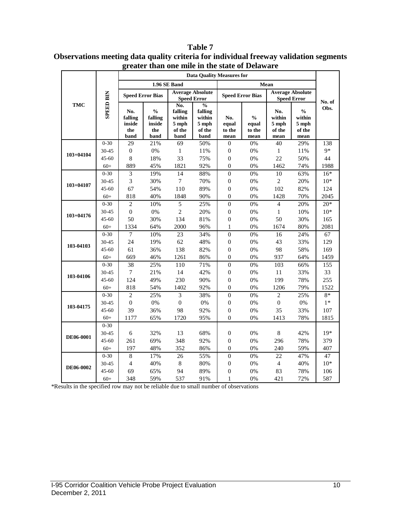|               |                  |                         | than one mne m the state of Delaware<br><b>Data Ouality Measures for</b> |                      |                                               |                  |                                    |                                               |                |        |  |  |
|---------------|------------------|-------------------------|--------------------------------------------------------------------------|----------------------|-----------------------------------------------|------------------|------------------------------------|-----------------------------------------------|----------------|--------|--|--|
|               |                  |                         |                                                                          |                      |                                               |                  |                                    |                                               |                |        |  |  |
|               |                  |                         |                                                                          | 1.96 SE Band         |                                               | Mean             |                                    |                                               |                |        |  |  |
|               | <b>SPEED BIN</b> | <b>Speed Error Bias</b> |                                                                          |                      | <b>Average Absolute</b><br><b>Speed Error</b> |                  | <b>Speed Error Bias</b>            | <b>Average Absolute</b><br><b>Speed Error</b> |                | No. of |  |  |
| <b>TMC</b>    |                  |                         |                                                                          | No.<br>$\frac{0}{0}$ |                                               |                  |                                    |                                               |                |        |  |  |
|               |                  | No.                     | $\frac{0}{0}$                                                            | falling              | falling                                       |                  |                                    | No.                                           | $\frac{0}{0}$  | Obs.   |  |  |
|               |                  | falling                 | falling                                                                  | within               | within                                        | No.              | $\mathbf{0}_{\mathbf{0}}^{\prime}$ | within                                        | within         |        |  |  |
|               |                  | inside                  | inside                                                                   | $5$ mph              | $5$ mph                                       | equal            | equal                              | 5 mph                                         | 5 mph          |        |  |  |
|               |                  | the<br>band             | the<br>band                                                              | of the<br>band       | of the<br>band                                | to the<br>mean   | to the<br>mean                     | of the<br>mean                                | of the<br>mean |        |  |  |
|               | $0 - 30$         | 29                      | 21%                                                                      | 69                   | 50%                                           | $\boldsymbol{0}$ | 0%                                 | 40                                            | 29%            | 138    |  |  |
|               | 30-45            | $\boldsymbol{0}$        | 0%                                                                       | $\mathbf{1}$         | 11%                                           | $\boldsymbol{0}$ | 0%                                 | $\mathbf{1}$                                  | 11%            | $9*$   |  |  |
| $103 + 04104$ | $45 - 60$        | $\,8\,$                 | 18%                                                                      | 33                   | 75%                                           | $\boldsymbol{0}$ | 0%                                 | 22                                            | 50%            | 44     |  |  |
|               | $60+$            | 889                     | 45%                                                                      | 1821                 | 92%                                           | $\boldsymbol{0}$ | 0%                                 | 1462                                          | 74%            | 1988   |  |  |
|               | $0 - 30$         | $\overline{\mathbf{3}}$ | 19%                                                                      | 14                   | 88%                                           | $\overline{0}$   | 0%                                 | 10                                            | 63%            | $16*$  |  |  |
|               | 30-45            | $\mathfrak{Z}$          | 30%                                                                      | $\boldsymbol{7}$     | 70%                                           | $\boldsymbol{0}$ | 0%                                 | $\sqrt{2}$                                    | 20%            | $10*$  |  |  |
| $103 + 04107$ | 45-60            | 67                      | 54%                                                                      | 110                  | 89%                                           | $\boldsymbol{0}$ | 0%                                 | 102                                           | 82%            | 124    |  |  |
|               | $60+$            | 818                     | 40%                                                                      | 1848                 | 90%                                           | $\boldsymbol{0}$ | 0%                                 | 1428                                          | 70%            | 2045   |  |  |
|               | $0 - 30$         | $\overline{2}$          | 10%                                                                      | $\overline{5}$       | 25%                                           | $\overline{0}$   | 0%                                 | $\overline{4}$                                | 20%            | $20*$  |  |  |
|               | 30-45            | $\boldsymbol{0}$        | 0%                                                                       | $\overline{c}$       | 20%                                           | $\boldsymbol{0}$ | 0%                                 | $\mathbf{1}$                                  | 10%            | $10*$  |  |  |
| $103 + 04176$ | 45-60            | 50                      | 30%                                                                      | 134                  | 81%                                           | $\boldsymbol{0}$ | 0%                                 | 50                                            | 30%            | 165    |  |  |
|               | $60+$            | 1334                    | 64%                                                                      | 2000                 | 96%                                           | $\mathbf{1}$     | 0%                                 | 1674                                          | 80%            | 2081   |  |  |
|               | $0 - 30$         | $\tau$                  | 10%                                                                      | 23                   | 34%                                           | $\boldsymbol{0}$ | 0%                                 | 16                                            | 24%            | 67     |  |  |
| 103-04103     | 30-45            | 24                      | 19%                                                                      | 62                   | 48%                                           | $\boldsymbol{0}$ | 0%                                 | 43                                            | 33%            | 129    |  |  |
|               | 45-60            | 61                      | 36%                                                                      | 138                  | 82%                                           | $\boldsymbol{0}$ | 0%                                 | 98                                            | 58%            | 169    |  |  |
|               | $60+$            | 669                     | 46%                                                                      | 1261                 | 86%                                           | $\boldsymbol{0}$ | 0%                                 | 937                                           | 64%            | 1459   |  |  |
|               | $0 - 30$         | 38                      | 25%                                                                      | 110                  | 71%                                           | $\boldsymbol{0}$ | 0%                                 | 103                                           | 66%            | 155    |  |  |
| 103-04106     | 30-45            | $\overline{7}$          | 21%                                                                      | 14                   | 42%                                           | $\boldsymbol{0}$ | 0%                                 | 11                                            | 33%            | 33     |  |  |
|               | $45 - 60$        | 124                     | 49%                                                                      | 230                  | 90%                                           | $\boldsymbol{0}$ | 0%                                 | 199                                           | 78%            | 255    |  |  |
|               | $60+$            | 818                     | 54%                                                                      | 1402                 | 92%                                           | $\boldsymbol{0}$ | 0%                                 | 1206                                          | 79%            | 1522   |  |  |
|               | $0 - 30$         | $\overline{c}$          | 25%                                                                      | 3                    | 38%                                           | $\overline{0}$   | 0%                                 | $\overline{2}$                                | 25%            | $8*$   |  |  |
| 103-04175     | 30-45            | $\boldsymbol{0}$        | $0\%$                                                                    | $\boldsymbol{0}$     | $0\%$                                         | $\boldsymbol{0}$ | 0%                                 | $\boldsymbol{0}$                              | $0\%$          | $1*$   |  |  |
|               | 45-60            | 39                      | 36%                                                                      | 98                   | 92%                                           | $\boldsymbol{0}$ | 0%                                 | 35                                            | 33%            | 107    |  |  |
|               | $60+$            | 1177                    | 65%                                                                      | 1720                 | 95%                                           | $\theta$         | 0%                                 | 1413                                          | 78%            | 1815   |  |  |
|               | $0 - 30$         |                         |                                                                          |                      |                                               |                  |                                    |                                               |                |        |  |  |
| DE06-0001     | 30-45            | 6                       | 32%                                                                      | 13                   | 68%                                           | $\boldsymbol{0}$ | 0%                                 | 8                                             | 42%            | $19*$  |  |  |
|               | 45-60            | 261                     | 69%                                                                      | 348                  | 92%                                           | $\boldsymbol{0}$ | 0%                                 | 296                                           | 78%            | 379    |  |  |
|               | $60+$            | 197                     | 48%                                                                      | 352                  | 86%                                           | $\boldsymbol{0}$ | 0%                                 | 240                                           | 59%            | 407    |  |  |
|               | $0 - 30$         | $\overline{8}$          | 17%                                                                      | 26                   | 55%                                           | $\boldsymbol{0}$ | 0%                                 | 22                                            | 47%            | 47     |  |  |
| DE06-0002     | 30-45            | $\overline{4}$          | 40%                                                                      | $\,8\,$              | 80%                                           | $\boldsymbol{0}$ | 0%                                 | $\overline{4}$                                | 40%            | $10*$  |  |  |
|               | 45-60            | 69                      | 65%                                                                      | 94                   | 89%                                           | $\boldsymbol{0}$ | 0%                                 | 83                                            | 78%            | 106    |  |  |
|               | $60+$            | 348                     | 59%                                                                      | 537                  | 91%                                           | $\mathbf{1}$     | 0%                                 | 421                                           | 72%            | 587    |  |  |

**Table 7 Observations meeting data quality criteria for individual freeway validation segments greater than one mile in the state of Delaware**

\*Results in the specified row may not be reliable due to small number of observations